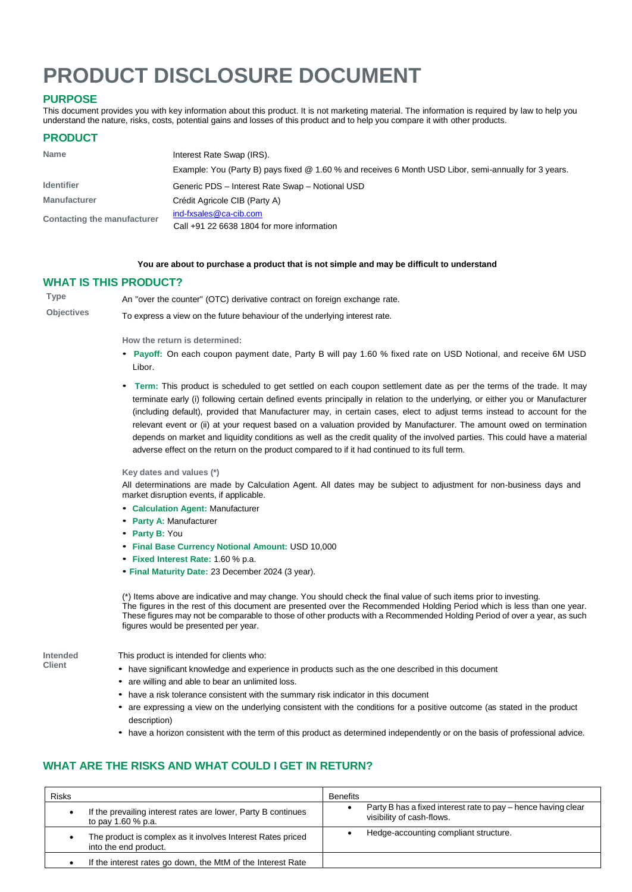# **PRODUCT DISCLOSURE DOCUMENT**

# **PURPOSE**

This document provides you with key information about this product. It is not marketing material. The information is required by law to help you understand the nature, risks, costs, potential gains and losses of this product and to help you compare it with other products.

## **PRODUCT**

| <b>Name</b>                 | Interest Rate Swap (IRS).                                                                             |  |
|-----------------------------|-------------------------------------------------------------------------------------------------------|--|
|                             | Example: You (Party B) pays fixed @ 1.60 % and receives 6 Month USD Libor, semi-annually for 3 years. |  |
| <b>Identifier</b>           | Generic PDS - Interest Rate Swap - Notional USD                                                       |  |
| <b>Manufacturer</b>         | Crédit Agricole CIB (Party A)                                                                         |  |
| Contacting the manufacturer | ind-fxsales@ca-cib.com                                                                                |  |
|                             | Call +91 22 6638 1804 for more information                                                            |  |

## **You are about to purchase a product that is not simple and may be difficult to understand**

## **WHAT IS THIS PRODUCT?**

**Type** An "over the counter" (OTC) derivative contract on foreign exchange rate.

**Objectives** To express a view on the future behaviour of the underlying interest rate.

### **How the return is determined:**

- **Payoff:** On each coupon payment date, Party B will pay 1.60 % fixed rate on USD Notional, and receive 6M USD Libor.
- **Term:** This product is scheduled to get settled on each coupon settlement date as per the terms of the trade. It may terminate early (i) following certain defined events principally in relation to the underlying, or either you or Manufacturer (including default), provided that Manufacturer may, in certain cases, elect to adjust terms instead to account for the relevant event or (ii) at your request based on a valuation provided by Manufacturer. The amount owed on termination depends on market and liquidity conditions as well as the credit quality of the involved parties. This could have a material adverse effect on the return on the product compared to if it had continued to its full term.

### **Key dates and values (\*)**

All determinations are made by Calculation Agent. All dates may be subject to adjustment for non-business days and market disruption events, if applicable.

- **Calculation Agent:** Manufacturer
- **Party A:** Manufacturer
- **Party B:** You
- **Final Base Currency Notional Amount:** USD 10,000
- **Fixed Interest Rate:** 1.60 % p.a.
- **Final Maturity Date:** 23 December 2024 (3 year).

(\*) Items above are indicative and may change. You should check the final value of such items prior to investing. The figures in the rest of this document are presented over the Recommended Holding Period which is less than one year. These figures may not be comparable to those of other products with a Recommended Holding Period of over a year, as such figures would be presented per year.

**Intended Client**

This product is intended for clients who:

- have significant knowledge and experience in products such as the one described in this document
- are willing and able to bear an unlimited loss.
- have a risk tolerance consistent with the summary risk indicator in this document
- are expressing <sup>a</sup> view on the underlying consistent with the conditions for <sup>a</sup> positive outcome (as stated in the product description)
- have a horizon consistent with the term of this product as determined independently or on the basis of professional advice.

# **WHAT ARE THE RISKS AND WHAT COULD I GET IN RETURN?**

| <b>Risks</b> |                                                                                       | <b>Benefits</b>                                                                            |
|--------------|---------------------------------------------------------------------------------------|--------------------------------------------------------------------------------------------|
|              | If the prevailing interest rates are lower, Party B continues<br>to pay $1.60\%$ p.a. | Party B has a fixed interest rate to pay – hence having clear<br>visibility of cash-flows. |
|              | The product is complex as it involves Interest Rates priced<br>into the end product.  | Hedge-accounting compliant structure.                                                      |
|              | If the interest rates go down, the MtM of the Interest Rate                           |                                                                                            |